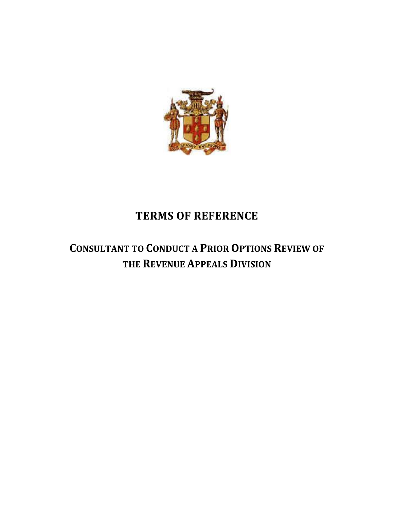

# **TERMS OF REFERENCE**

# **CONSULTANT TO CONDUCT A PRIOR OPTIONS REVIEW OF THE REVENUE APPEALS DIVISION**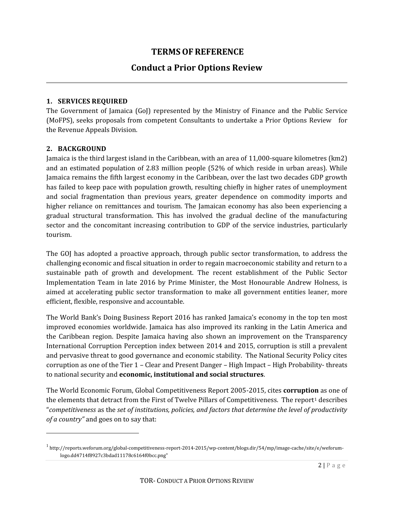# **TERMS OF REFERENCE**

# **Conduct a Prior Options Review**

#### **1. SERVICES REQUIRED**

The Government of Jamaica (GoJ) represented by the Ministry of Finance and the Public Service (MoFPS), seeks proposals from competent Consultants to undertake a Prior Options Review for the Revenue Appeals Division.

#### **2. BACKGROUND**

Jamaica is the third largest island in the Caribbean, with an area of 11,000-square kilometres (km2) and an estimated population of 2.83 million people (52% of which reside in urban areas). While Jamaica remains the fifth largest economy in the Caribbean, over the last two decades GDP growth has failed to keep pace with population growth, resulting chiefly in higher rates of unemployment and social fragmentation than previous years, greater dependence on commodity imports and higher reliance on remittances and tourism. The Jamaican economy has also been experiencing a gradual structural transformation. This has involved the gradual decline of the manufacturing sector and the concomitant increasing contribution to GDP of the service industries, particularly tourism.

The GOJ has adopted a proactive approach, through public sector transformation, to address the challenging economic and fiscal situation in order to regain macroeconomic stability and return to a sustainable path of growth and development. The recent establishment of the Public Sector Implementation Team in late 2016 by Prime Minister, the Most Honourable Andrew Holness, is aimed at accelerating public sector transformation to make all government entities leaner, more efficient, flexible, responsive and accountable.

The World Bank's Doing Business Report 2016 has ranked Jamaica's economy in the top ten most improved economies worldwide. Jamaica has also improved its ranking in the Latin America and the Caribbean region. Despite Jamaica having also shown an improvement on the Transparency International Corruption Perception index between 2014 and 2015, corruption is still a prevalent and pervasive threat to good governance and economic stability. The National Security Policy cites corruption as one of the Tier 1 – Clear and Present Danger – High Impact – High Probability- threats to national security and **economic, institutional and social structures**.

The World Economic Forum, Global Competitiveness Report 2005-2015, cites **corruption** as one of the elements that detract from the First of Twelve Pillars of Competitiveness. The report<sup>1</sup> describes "*competitiveness* as the *set of institutions, policies, and factors that determine the level of productivity of a country"* and goes on to say that:

 $2 | P a g e$  $1$  http://reports.weforum.org/global-competitiveness-report-2014-2015/wp-content/blogs.dir/54/mp/image-cache/site/e/weforumlogo.dd4714f8927c3bdad11178c6164f0bcc.png"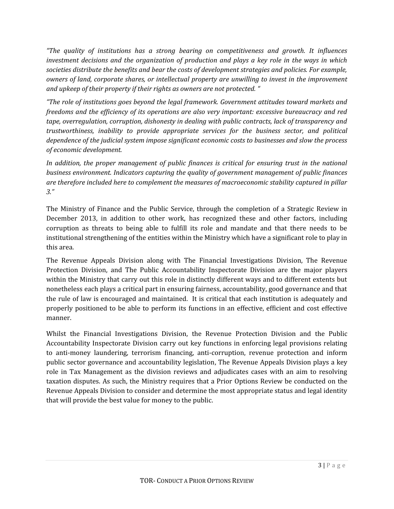*"The quality of institutions has a strong bearing on competitiveness and growth. It influences investment decisions and the organization of production and plays a key role in the ways in which societies distribute the benefits and bear the costs of development strategies and policies. For example, owners of land, corporate shares, or intellectual property are unwilling to invest in the improvement and upkeep of their property if their rights as owners are not protected. "*

*"The role of institutions goes beyond the legal framework. Government attitudes toward markets and freedoms and the efficiency of its operations are also very important: excessive bureaucracy and red tape, overregulation, corruption, dishonesty in dealing with public contracts, lack of transparency and trustworthiness, inability to provide appropriate services for the business sector, and political dependence of the judicial system impose significant economic costs to businesses and slow the process of economic development.*

*In addition, the proper management of public finances is critical for ensuring trust in the national business environment. Indicators capturing the quality of government management of public finances are therefore included here to complement the measures of macroeconomic stability captured in pillar 3."*

The Ministry of Finance and the Public Service, through the completion of a Strategic Review in December 2013, in addition to other work, has recognized these and other factors, including corruption as threats to being able to fulfill its role and mandate and that there needs to be institutional strengthening of the entities within the Ministry which have a significant role to play in this area.

The Revenue Appeals Division along with The Financial Investigations Division, The Revenue Protection Division, and The Public Accountability Inspectorate Division are the major players within the Ministry that carry out this role in distinctly different ways and to different extents but nonetheless each plays a critical part in ensuring fairness, accountability, good governance and that the rule of law is encouraged and maintained. It is critical that each institution is adequately and properly positioned to be able to perform its functions in an effective, efficient and cost effective manner.

Whilst the Financial Investigations Division, the Revenue Protection Division and the Public Accountability Inspectorate Division carry out key functions in enforcing legal provisions relating to anti-money laundering, terrorism financing, anti-corruption, revenue protection and inform public sector governance and accountability legislation, The Revenue Appeals Division plays a key role in Tax Management as the division reviews and adjudicates cases with an aim to resolving taxation disputes. As such, the Ministry requires that a Prior Options Review be conducted on the Revenue Appeals Division to consider and determine the most appropriate status and legal identity that will provide the best value for money to the public.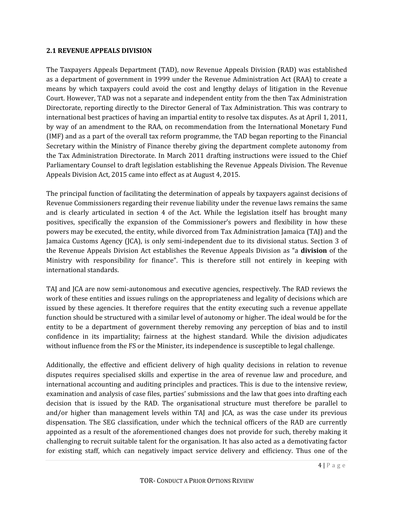#### **2.1 REVENUE APPEALS DIVISION**

The Taxpayers Appeals Department (TAD), now Revenue Appeals Division (RAD) was established as a department of government in 1999 under the Revenue Administration Act (RAA) to create a means by which taxpayers could avoid the cost and lengthy delays of litigation in the Revenue Court. However, TAD was not a separate and independent entity from the then Tax Administration Directorate, reporting directly to the Director General of Tax Administration. This was contrary to international best practices of having an impartial entity to resolve tax disputes. As at April 1, 2011, by way of an amendment to the RAA, on recommendation from the International Monetary Fund (IMF) and as a part of the overall tax reform programme, the TAD began reporting to the Financial Secretary within the Ministry of Finance thereby giving the department complete autonomy from the Tax Administration Directorate. In March 2011 drafting instructions were issued to the Chief Parliamentary Counsel to draft legislation establishing the Revenue Appeals Division. The Revenue Appeals Division Act, 2015 came into effect as at August 4, 2015.

The principal function of facilitating the determination of appeals by taxpayers against decisions of Revenue Commissioners regarding their revenue liability under the revenue laws remains the same and is clearly articulated in section 4 of the Act. While the legislation itself has brought many positives, specifically the expansion of the Commissioner's powers and flexibility in how these powers may be executed, the entity, while divorced from Tax Administration Jamaica (TAJ) and the Jamaica Customs Agency (JCA), is only semi-independent due to its divisional status. Section 3 of the Revenue Appeals Division Act establishes the Revenue Appeals Division as "a **division** of the Ministry with responsibility for finance". This is therefore still not entirely in keeping with international standards.

TAJ and JCA are now semi-autonomous and executive agencies, respectively. The RAD reviews the work of these entities and issues rulings on the appropriateness and legality of decisions which are issued by these agencies. It therefore requires that the entity executing such a revenue appellate function should be structured with a similar level of autonomy or higher. The ideal would be for the entity to be a department of government thereby removing any perception of bias and to instil confidence in its impartiality; fairness at the highest standard. While the division adjudicates without influence from the FS or the Minister, its independence is susceptible to legal challenge.

ing factor<br>ne of the<br> $\frac{4 | P}{a}$  g e Additionally, the effective and efficient delivery of high quality decisions in relation to revenue disputes requires specialised skills and expertise in the area of revenue law and procedure, and international accounting and auditing principles and practices. This is due to the intensive review, examination and analysis of case files, parties' submissions and the law that goes into drafting each decision that is issued by the RAD. The organisational structure must therefore be parallel to and/or higher than management levels within TAJ and JCA, as was the case under its previous dispensation. The SEG classification, under which the technical officers of the RAD are currently appointed as a result of the aforementioned changes does not provide for such, thereby making it challenging to recruit suitable talent for the organisation. It has also acted as a demotivating factor for existing staff, which can negatively impact service delivery and efficiency. Thus one of the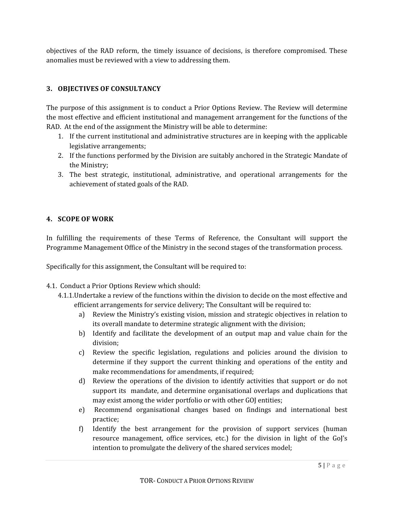objectives of the RAD reform, the timely issuance of decisions, is therefore compromised. These anomalies must be reviewed with a view to addressing them.

# **3. OBJECTIVES OF CONSULTANCY**

The purpose of this assignment is to conduct a Prior Options Review. The Review will determine the most effective and efficient institutional and management arrangement for the functions of the RAD. At the end of the assignment the Ministry will be able to determine:

- 1. If the current institutional and administrative structures are in keeping with the applicable legislative arrangements;
- 2. If the functions performed by the Division are suitably anchored in the Strategic Mandate of the Ministry;
- 3. The best strategic, institutional, administrative, and operational arrangements for the achievement of stated goals of the RAD.

## **4. SCOPE OF WORK**

In fulfilling the requirements of these Terms of Reference, the Consultant will support the Programme Management Office of the Ministry in the second stages of the transformation process.

Specifically for this assignment, the Consultant will be required to:

- 4.1. Conduct a Prior Options Review which should:
	- 4.1.1.Undertake a review of the functions within the division to decide on the most effective and efficient arrangements for service delivery; The Consultant will be required to:
		- a) Review the Ministry's existing vision, mission and strategic objectives in relation to its overall mandate to determine strategic alignment with the division;
		- b) Identify and facilitate the development of an output map and value chain for the division;
		- c) Review the specific legislation, regulations and policies around the division to determine if they support the current thinking and operations of the entity and make recommendations for amendments, if required;
		- d) Review the operations of the division to identify activities that support or do not support its mandate, and determine organisational overlaps and duplications that may exist among the wider portfolio or with other GOJ entities;
		- e) Recommend organisational changes based on findings and international best practice;
		- the GoJ s<br> $5 | P \text{ a } g e$ f) Identify the best arrangement for the provision of support services (human resource management, office services, etc.) for the division in light of the GoJ's intention to promulgate the delivery of the shared services model;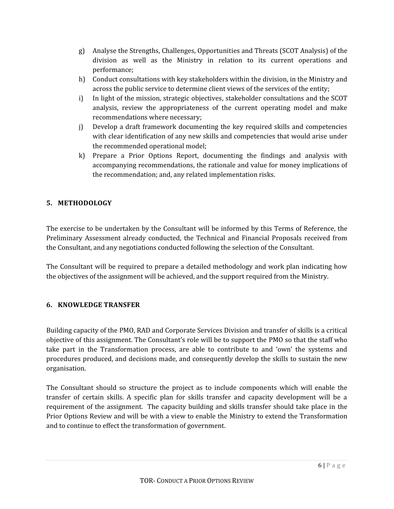- g) Analyse the Strengths, Challenges, Opportunities and Threats (SCOT Analysis) of the division as well as the Ministry in relation to its current operations and performance;
- h) Conduct consultations with key stakeholders within the division, in the Ministry and across the public service to determine client views of the services of the entity;
- i) In light of the mission, strategic objectives, stakeholder consultations and the SCOT analysis, review the appropriateness of the current operating model and make recommendations where necessary;
- j) Develop a draft framework documenting the key required skills and competencies with clear identification of any new skills and competencies that would arise under the recommended operational model;
- k) Prepare a Prior Options Report, documenting the findings and analysis with accompanying recommendations, the rationale and value for money implications of the recommendation; and, any related implementation risks.

# **5. METHODOLOGY**

The exercise to be undertaken by the Consultant will be informed by this Terms of Reference, the Preliminary Assessment already conducted, the Technical and Financial Proposals received from the Consultant, and any negotiations conducted following the selection of the Consultant.

The Consultant will be required to prepare a detailed methodology and work plan indicating how the objectives of the assignment will be achieved, and the support required from the Ministry.

# **6. KNOWLEDGE TRANSFER**

Building capacity of the PMO, RAD and Corporate Services Division and transfer of skills is a critical objective of this assignment. The Consultant's role will be to support the PMO so that the staff who take part in the Transformation process, are able to contribute to and 'own' the systems and procedures produced, and decisions made, and consequently develop the skills to sustain the new organisation.

The Consultant should so structure the project as to include components which will enable the transfer of certain skills. A specific plan for skills transfer and capacity development will be a requirement of the assignment. The capacity building and skills transfer should take place in the Prior Options Review and will be with a view to enable the Ministry to extend the Transformation and to continue to effect the transformation of government.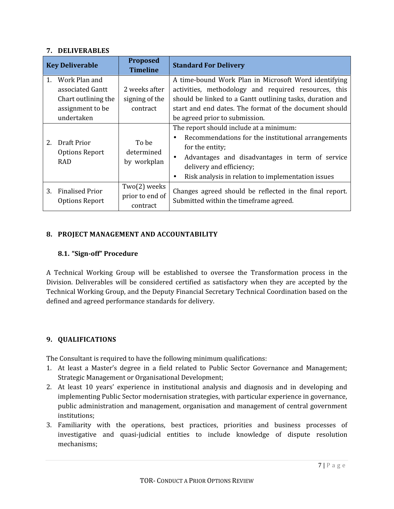#### **7. DELIVERABLES**

| <b>Key Deliverable</b> |                                                                                            | <b>Proposed</b><br><b>Timeline</b>                 | <b>Standard For Delivery</b>                                                                                                                                                                                                                                                                 |
|------------------------|--------------------------------------------------------------------------------------------|----------------------------------------------------|----------------------------------------------------------------------------------------------------------------------------------------------------------------------------------------------------------------------------------------------------------------------------------------------|
| $\mathbf{1}$ .         | Work Plan and<br>associated Gantt<br>Chart outlining the<br>assignment to be<br>undertaken | 2 weeks after<br>signing of the<br><b>contract</b> | A time-bound Work Plan in Microsoft Word identifying<br>activities, methodology and required resources, this<br>should be linked to a Gantt outlining tasks, duration and<br>start and end dates. The format of the document should<br>be agreed prior to submission.                        |
| 2.                     | Draft Prior<br>Options Report<br><b>RAD</b>                                                | To be<br>determined<br>by workplan                 | The report should include at a minimum:<br>Recommendations for the institutional arrangements<br>$\bullet$<br>for the entity;<br>Advantages and disadvantages in term of service<br>$\bullet$<br>delivery and efficiency;<br>Risk analysis in relation to implementation issues<br>$\bullet$ |
| 3.                     | <b>Finalised Prior</b><br>Options Report                                                   | Two(2) weeks<br>prior to end of<br>contract        | Changes agreed should be reflected in the final report.<br>Submitted within the timeframe agreed.                                                                                                                                                                                            |

### **8. PROJECT MANAGEMENT AND ACCOUNTABILITY**

#### **8.1. "Sign-off" Procedure**

A Technical Working Group will be established to oversee the Transformation process in the Division. Deliverables will be considered certified as satisfactory when they are accepted by the Technical Working Group, and the Deputy Financial Secretary Technical Coordination based on the defined and agreed performance standards for delivery.

### **9. QUALIFICATIONS**

The Consultant is required to have the following minimum qualifications:

- 1. At least a Master's degree in a field related to Public Sector Governance and Management; Strategic Management or Organisational Development;
- 2. At least 10 years' experience in institutional analysis and diagnosis and in developing and implementing Public Sector modernisation strategies, with particular experience in governance, public administration and management, organisation and management of central government institutions;
- <sup>7</sup> <sup>|</sup> P a g e 3. Familiarity with the operations, best practices, priorities and business processes of investigative and quasi-judicial entities to include knowledge of dispute resolution mechanisms;